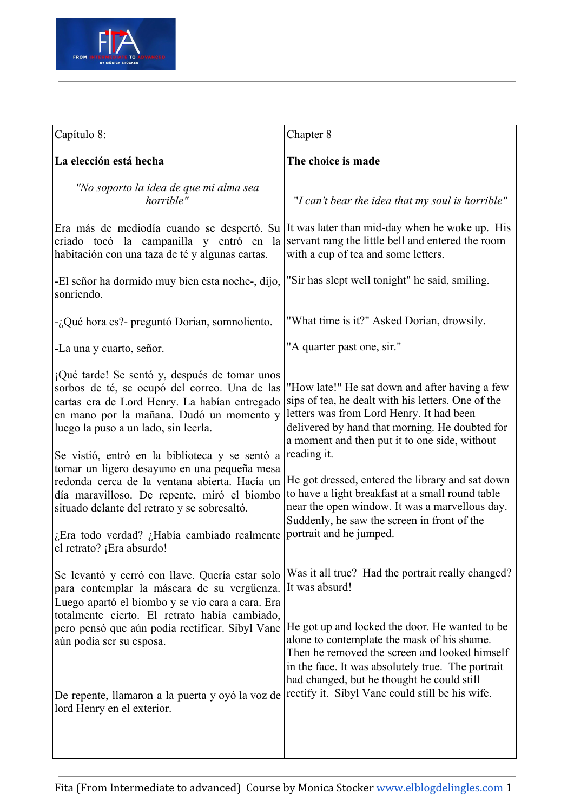

| Capítulo 8:                                                                                                                                                                                                                                                                                                                | Chapter 8                                                                                                                                                                                                                                                                  |
|----------------------------------------------------------------------------------------------------------------------------------------------------------------------------------------------------------------------------------------------------------------------------------------------------------------------------|----------------------------------------------------------------------------------------------------------------------------------------------------------------------------------------------------------------------------------------------------------------------------|
| La elección está hecha                                                                                                                                                                                                                                                                                                     | The choice is made                                                                                                                                                                                                                                                         |
| "No soporto la idea de que mi alma sea<br>horrible"                                                                                                                                                                                                                                                                        | "I can't bear the idea that my soul is horrible"                                                                                                                                                                                                                           |
| Era más de mediodía cuando se despertó. Su It was later than mid-day when he woke up. His<br>criado tocó la campanilla y entró en<br>habitación con una taza de té y algunas cartas.                                                                                                                                       | la servant rang the little bell and entered the room<br>with a cup of tea and some letters.                                                                                                                                                                                |
| -El señor ha dormido muy bien esta noche-, dijo,<br>sonriendo.                                                                                                                                                                                                                                                             | "Sir has slept well tonight" he said, smiling.                                                                                                                                                                                                                             |
| -¿Qué hora es?- preguntó Dorian, somnoliento.                                                                                                                                                                                                                                                                              | "What time is it?" Asked Dorian, drowsily.                                                                                                                                                                                                                                 |
| -La una y cuarto, señor.                                                                                                                                                                                                                                                                                                   | "A quarter past one, sir."                                                                                                                                                                                                                                                 |
| ¡Qué tarde! Se sentó y, después de tomar unos<br>sorbos de té, se ocupó del correo. Una de las<br>cartas era de Lord Henry. La habían entregado<br>en mano por la mañana. Dudó un momento y<br>luego la puso a un lado, sin leerla.                                                                                        | "How late!" He sat down and after having a few<br>sips of tea, he dealt with his letters. One of the<br>letters was from Lord Henry. It had been<br>delivered by hand that morning. He doubted for<br>a moment and then put it to one side, without<br>reading it.         |
| Se vistió, entró en la biblioteca y se sentó a<br>tomar un ligero desayuno en una pequeña mesa<br>redonda cerca de la ventana abierta. Hacía un<br>día maravilloso. De repente, miró el biombo<br>situado delante del retrato y se sobresaltó.<br>¿Era todo verdad? ¿Había cambiado realmente<br>el retrato? ¡Era absurdo! | He got dressed, entered the library and sat down<br>to have a light breakfast at a small round table<br>near the open window. It was a marvellous day.<br>Suddenly, he saw the screen in front of the<br>portrait and he jumped.                                           |
| Se levantó y cerró con llave. Quería estar solo<br>para contemplar la máscara de su vergüenza.<br>Luego apartó el biombo y se vio cara a cara. Era<br>totalmente cierto. El retrato había cambiado,<br>pero pensó que aún podía rectificar. Sibyl Vane<br>aún podía ser su esposa.                                         | Was it all true? Had the portrait really changed?<br>It was absurd!<br>He got up and locked the door. He wanted to be<br>alone to contemplate the mask of his shame.<br>Then he removed the screen and looked himself<br>in the face. It was absolutely true. The portrait |
| De repente, llamaron a la puerta y oyó la voz de<br>lord Henry en el exterior.                                                                                                                                                                                                                                             | had changed, but he thought he could still<br>rectify it. Sibyl Vane could still be his wife.                                                                                                                                                                              |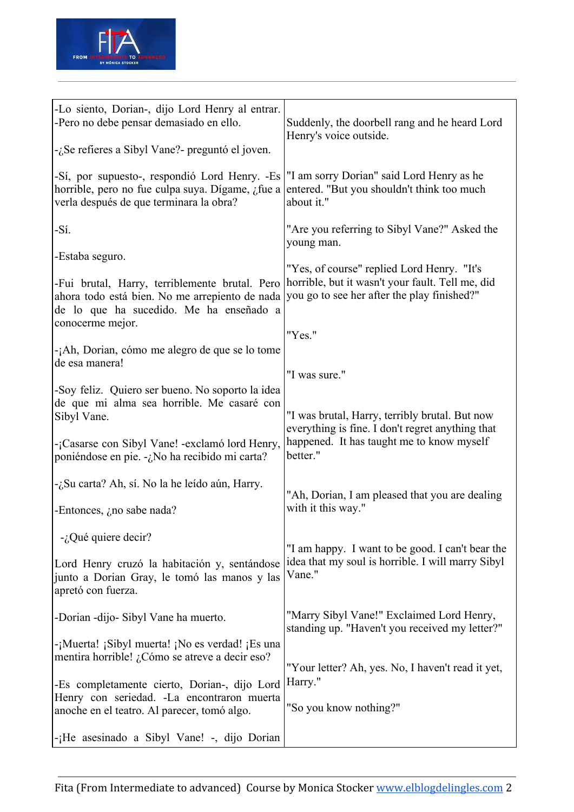

| -Lo siento, Dorian-, dijo Lord Henry al entrar.<br>-Pero no debe pensar demasiado en ello.<br>-¿Se refieres a Sibyl Vane?- preguntó el joven.                                                                                                                                                                                                                                                                                                                              | Suddenly, the doorbell rang and he heard Lord<br>Henry's voice outside.                                                                                                                                                                                                                                                                 |
|----------------------------------------------------------------------------------------------------------------------------------------------------------------------------------------------------------------------------------------------------------------------------------------------------------------------------------------------------------------------------------------------------------------------------------------------------------------------------|-----------------------------------------------------------------------------------------------------------------------------------------------------------------------------------------------------------------------------------------------------------------------------------------------------------------------------------------|
| -Sí, por supuesto-, respondió Lord Henry. -Es<br>horrible, pero no fue culpa suya. Dígame, ¿fue a<br>verla después de que terminara la obra?                                                                                                                                                                                                                                                                                                                               | "I am sorry Dorian" said Lord Henry as he<br>entered. "But you shouldn't think too much<br>about it."                                                                                                                                                                                                                                   |
| -Sí.                                                                                                                                                                                                                                                                                                                                                                                                                                                                       | "Are you referring to Sibyl Vane?" Asked the<br>young man.                                                                                                                                                                                                                                                                              |
| -Estaba seguro.<br>-Fui brutal, Harry, terriblemente brutal. Pero<br>ahora todo está bien. No me arrepiento de nada<br>de lo que ha sucedido. Me ha enseñado a<br>conocerme mejor.<br>-¡Ah, Dorian, cómo me alegro de que se lo tome<br>de esa manera!<br>-Soy feliz. Quiero ser bueno. No soporto la idea<br>de que mi alma sea horrible. Me casaré con<br>Sibyl Vane.<br>-¡Casarse con Sibyl Vane! -exclamó lord Henry,<br>poniéndose en pie. -¿No ha recibido mi carta? | "Yes, of course" replied Lord Henry. "It's<br>horrible, but it wasn't your fault. Tell me, did<br>you go to see her after the play finished?"<br>"Yes."<br>"I was sure."<br>"I was brutal, Harry, terribly brutal. But now<br>everything is fine. I don't regret anything that<br>happened. It has taught me to know myself<br>better." |
| -¿Su carta? Ah, sí. No la he leído aún, Harry.<br>-Entonces, $\lambda$ no sabe nada?                                                                                                                                                                                                                                                                                                                                                                                       | "Ah, Dorian, I am pleased that you are dealing<br>with it this way."                                                                                                                                                                                                                                                                    |
| $-i$ . Qué quiere decir?<br>Lord Henry cruzó la habitación y, sentándose<br>junto a Dorian Gray, le tomó las manos y las<br>apretó con fuerza.                                                                                                                                                                                                                                                                                                                             | "I am happy. I want to be good. I can't bear the<br>idea that my soul is horrible. I will marry Sibyl<br>Vane."                                                                                                                                                                                                                         |
| -Dorian -dijo- Sibyl Vane ha muerto.                                                                                                                                                                                                                                                                                                                                                                                                                                       | "Marry Sibyl Vane!" Exclaimed Lord Henry,<br>standing up. "Haven't you received my letter?"                                                                                                                                                                                                                                             |
| -¡Muerta! ¡Sibyl muerta! ¡No es verdad! ¡Es una<br>mentira horrible! ¿Cómo se atreve a decir eso?<br>-Es completamente cierto, Dorian-, dijo Lord<br>Henry con seriedad. -La encontraron muerta<br>anoche en el teatro. Al parecer, tomó algo.<br>-¡He asesinado a Sibyl Vane! -, dijo Dorian                                                                                                                                                                              | "Your letter? Ah, yes. No, I haven't read it yet,<br>Harry."<br>"So you know nothing?"                                                                                                                                                                                                                                                  |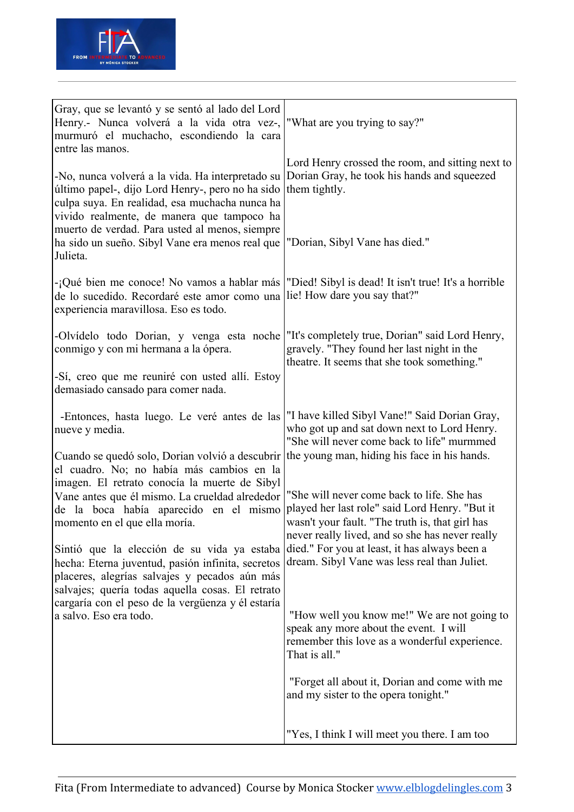

| Gray, que se levantó y se sentó al lado del Lord<br>Henry.- Nunca volverá a la vida otra vez-,<br>murmuró el muchacho, escondiendo la cara<br>entre las manos.                                        | "What are you trying to say?"                                                                                                                                                                      |
|-------------------------------------------------------------------------------------------------------------------------------------------------------------------------------------------------------|----------------------------------------------------------------------------------------------------------------------------------------------------------------------------------------------------|
| -No, nunca volverá a la vida. Ha interpretado su<br>último papel-, dijo Lord Henry-, pero no ha sido<br>culpa suya. En realidad, esa muchacha nunca ha<br>vivido realmente, de manera que tampoco ha  | Lord Henry crossed the room, and sitting next to<br>Dorian Gray, he took his hands and squeezed<br>them tightly.                                                                                   |
| muerto de verdad. Para usted al menos, siempre<br>ha sido un sueño. Sibyl Vane era menos real que<br>Julieta.                                                                                         | "Dorian, Sibyl Vane has died."                                                                                                                                                                     |
| -¡Qué bien me conoce! No vamos a hablar más  "Died! Sibyl is dead! It isn't true! It's a horrible<br>de lo sucedido. Recordaré este amor como una<br>experiencia maravillosa. Eso es todo.            | lie! How dare you say that?"                                                                                                                                                                       |
| -Olvídelo todo Dorian, y venga esta noche<br>conmigo y con mi hermana a la ópera.                                                                                                                     | "It's completely true, Dorian" said Lord Henry,<br>gravely. "They found her last night in the<br>theatre. It seems that she took something."                                                       |
| -Sí, creo que me reuniré con usted allí. Estoy<br>demasiado cansado para comer nada.                                                                                                                  |                                                                                                                                                                                                    |
| -Entonces, hasta luego. Le veré antes de las<br>nueve y media.                                                                                                                                        | "I have killed Sibyl Vane!" Said Dorian Gray,<br>who got up and sat down next to Lord Henry.<br>"She will never come back to life" murmmed                                                         |
| Cuando se quedó solo, Dorian volvió a descubrir<br>el cuadro. No; no había más cambios en la<br>imagen. El retrato conocía la muerte de Sibyl                                                         | the young man, hiding his face in his hands.                                                                                                                                                       |
| Vane antes que él mismo. La crueldad alrededor<br>de la boca había aparecido en el mismo<br>momento en el que ella moría.                                                                             | "She will never come back to life. She has<br>played her last role" said Lord Henry. "But it<br>wasn't your fault. "The truth is, that girl has<br>never really lived, and so she has never really |
| Sintió que la elección de su vida ya estaba<br>hecha: Eterna juventud, pasión infinita, secretos<br>placeres, alegrías salvajes y pecados aún más<br>salvajes; quería todas aquella cosas. El retrato | died." For you at least, it has always been a<br>dream. Sibyl Vane was less real than Juliet.                                                                                                      |
| cargaría con el peso de la vergüenza y él estaría<br>a salvo. Eso era todo.                                                                                                                           | "How well you know me!" We are not going to<br>speak any more about the event. I will<br>remember this love as a wonderful experience.<br>That is all."                                            |
|                                                                                                                                                                                                       | "Forget all about it, Dorian and come with me<br>and my sister to the opera tonight."                                                                                                              |
|                                                                                                                                                                                                       | "Yes, I think I will meet you there. I am too                                                                                                                                                      |